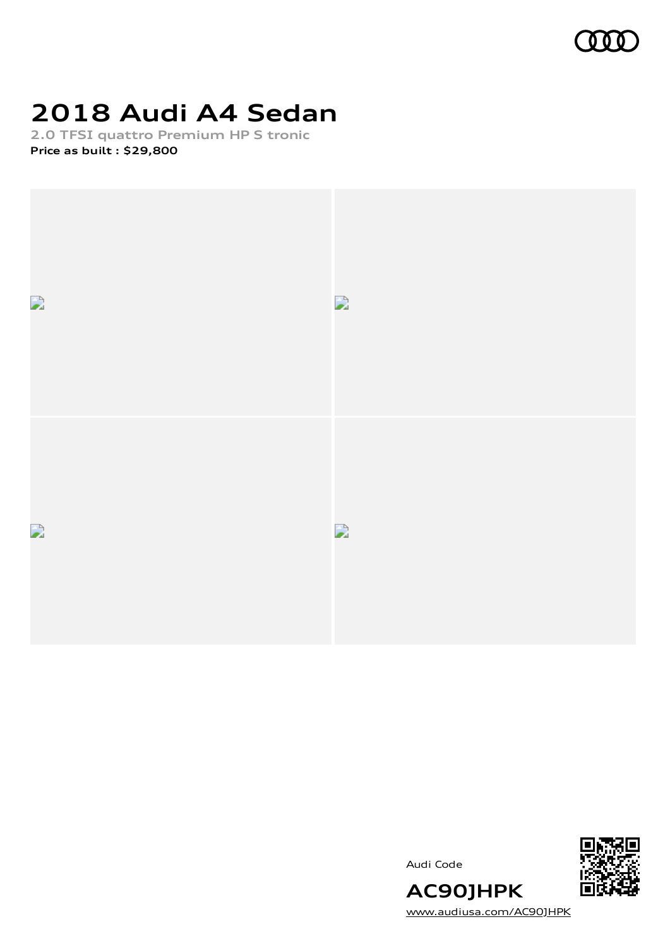

# **2018 Audi A4 Sedan**

**2.0 TFSI quattro Premium HP S tronic Price as built [:](#page-10-0) \$29,800**



Audi Code



[www.audiusa.com/AC90JHPK](https://www.audiusa.com/AC90JHPK)

**AC90JHPK**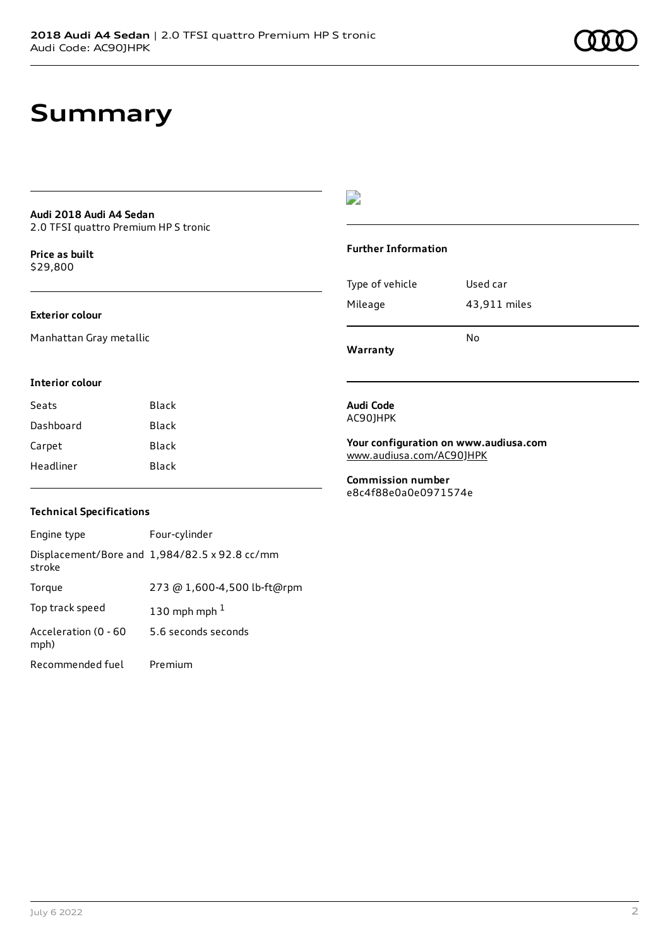## **Summary**

#### **Audi 2018 Audi A4 Sedan** 2.0 TFSI quattro Premium HP S tronic

**Price as buil[t](#page-10-0)**

### \$29,800

#### **Exterior colour**

Manhattan Gray metallic

#### $\overline{\phantom{a}}$

#### **Further Information**

|                 | N٥           |
|-----------------|--------------|
| Mileage         | 43,911 miles |
| Type of vehicle | Used car     |

**Warranty**

#### **Interior colour**

| Seats     | Black |
|-----------|-------|
| Dashboard | Black |
| Carpet    | Black |
| Headliner | Black |

#### **Audi Code** AC90JHPK

**Your configuration on www.audiusa.com** [www.audiusa.com/AC90JHPK](https://www.audiusa.com/AC90JHPK)

**Commission number** e8c4f88e0a0e0971574e

#### **Technical Specifications**

| Engine type                  | Four-cylinder                                 |
|------------------------------|-----------------------------------------------|
| stroke                       | Displacement/Bore and 1,984/82.5 x 92.8 cc/mm |
| Torque                       | 273 @ 1,600-4,500 lb-ft@rpm                   |
| Top track speed              | 130 mph mph $1$                               |
| Acceleration (0 - 60<br>mph) | 5.6 seconds seconds                           |
| Recommended fuel             | Premium                                       |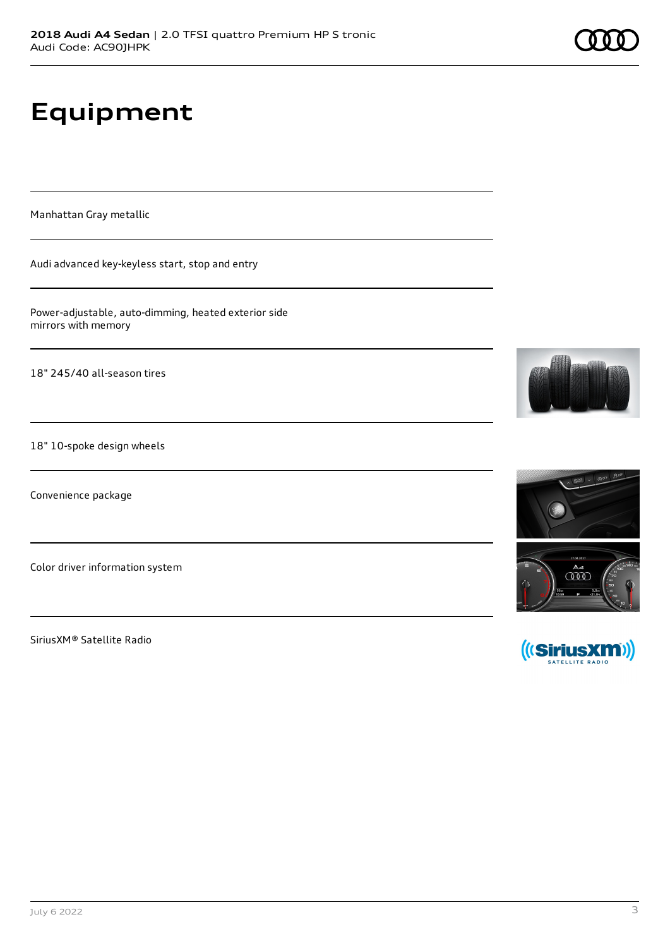# **Equipment**

Manhattan Gray metallic

Audi advanced key-keyless start, stop and entry

Power-adjustable, auto-dimming, heated exterior side mirrors with memory

18" 245/40 all-season tires

18" 10-spoke design wheels

Convenience package

Color driver information system

SiriusXM® Satellite Radio







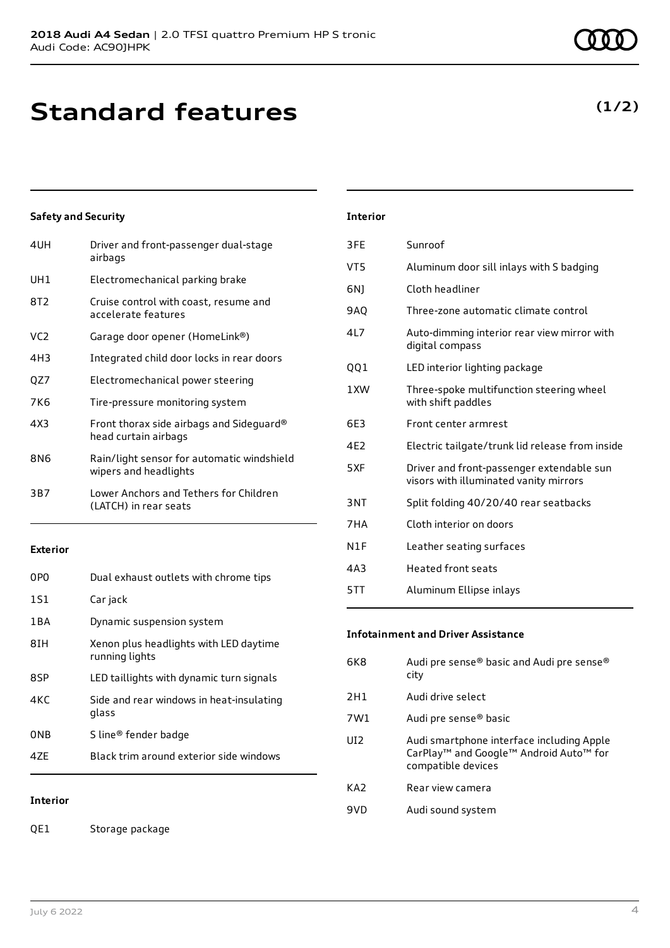| 4UH | Driver and front-passenger dual-stage<br>airbags                    |
|-----|---------------------------------------------------------------------|
| UH1 | Electromechanical parking brake                                     |
| 8T2 | Cruise control with coast, resume and<br>accelerate features        |
| VC2 | Garage door opener (HomeLink®)                                      |
| 4H3 | Integrated child door locks in rear doors                           |
| QZ7 | Electromechanical power steering                                    |
| 7K6 | Tire-pressure monitoring system                                     |
| 4X3 | Front thorax side airbags and Sideguard®<br>head curtain airbags    |
| 8N6 | Rain/light sensor for automatic windshield<br>wipers and headlights |
| 3B7 | Lower Anchors and Tethers for Children<br>(LATCH) in rear seats     |
|     |                                                                     |

#### **Exterior**

| 0PO   | Dual exhaust outlets with chrome tips                    |
|-------|----------------------------------------------------------|
| 1S1   | Car jack                                                 |
| 1 B A | Dynamic suspension system                                |
| 8IH   | Xenon plus headlights with LED daytime<br>running lights |
| 8SP   | LED taillights with dynamic turn signals                 |
| 4KC   | Side and rear windows in heat-insulating<br>glass        |
| 0NB   | S line <sup>®</sup> fender badge                         |
| 47F   | Black trim around exterior side windows                  |

#### **Interior**

QE1 Storage package

### **Interior** 3FE Sunroof

| VT5  | Aluminum door sill inlays with S badging                                            |
|------|-------------------------------------------------------------------------------------|
| 6N)  | Cloth headliner                                                                     |
| 9AO  | Three-zone automatic climate control                                                |
| 417  | Auto-dimming interior rear view mirror with<br>digital compass                      |
| QQ1  | LED interior lighting package                                                       |
| 1 XW | Three-spoke multifunction steering wheel<br>with shift paddles                      |
| 6E3  | Front center armrest                                                                |
| 4F2  | Electric tailgate/trunk lid release from inside                                     |
| 5XF  | Driver and front-passenger extendable sun<br>visors with illuminated vanity mirrors |
| 3NT  | Split folding 40/20/40 rear seatbacks                                               |
| 7HA  | Cloth interior on doors                                                             |
| N1F  | Leather seating surfaces                                                            |
| 4A3  | <b>Heated front seats</b>                                                           |
| 5TT  | Aluminum Ellipse inlays                                                             |
|      |                                                                                     |

#### **Infotainment and Driver Assistance**

| 6K8             | Audi pre sense® basic and Audi pre sense®<br>city                                                                     |
|-----------------|-----------------------------------------------------------------------------------------------------------------------|
| 2H1             | Audi drive select                                                                                                     |
| 7W1             | Audi pre sense <sup>®</sup> basic                                                                                     |
| UI <sub>2</sub> | Audi smartphone interface including Apple<br>CarPlay <sup>™</sup> and Google™ Android Auto™ for<br>compatible devices |
| KA <sub>2</sub> | Rear view camera                                                                                                      |
| 9VD             | Audi sound system                                                                                                     |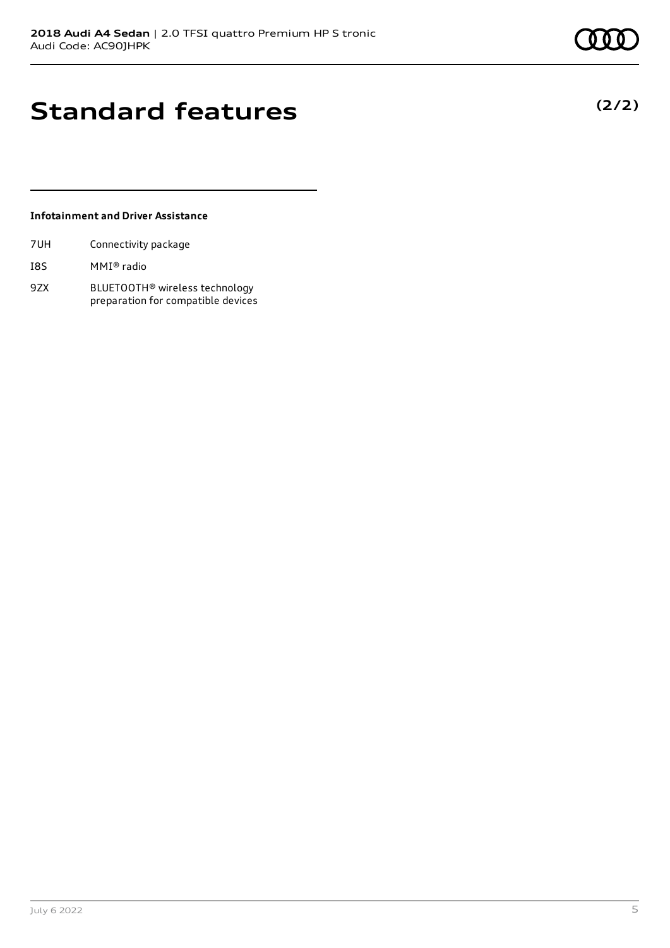**(2/2)**

# **Standard features**

#### **Infotainment and Driver Assistance**

| 7UH | Connectivity package |  |
|-----|----------------------|--|
|     |                      |  |

- I8S MMI® radio
- 9ZX BLUETOOTH® wireless technology preparation for compatible devices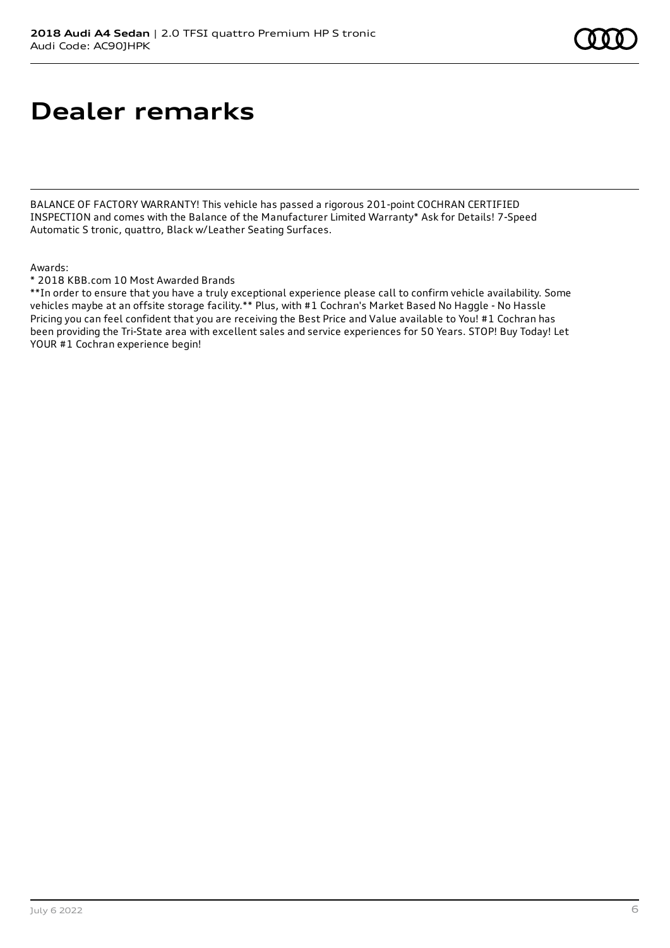# **Dealer remarks**

BALANCE OF FACTORY WARRANTY! This vehicle has passed a rigorous 201-point COCHRAN CERTIFIED INSPECTION and comes with the Balance of the Manufacturer Limited Warranty\* Ask for Details! 7-Speed Automatic S tronic, quattro, Black w/Leather Seating Surfaces.

#### Awards:

\* 2018 KBB.com 10 Most Awarded Brands

\*\*In order to ensure that you have a truly exceptional experience please call to confirm vehicle availability. Some vehicles maybe at an offsite storage facility.\*\* Plus, with #1 Cochran's Market Based No Haggle - No Hassle Pricing you can feel confident that you are receiving the Best Price and Value available to You! #1 Cochran has been providing the Tri-State area with excellent sales and service experiences for 50 Years. STOP! Buy Today! Let YOUR #1 Cochran experience begin!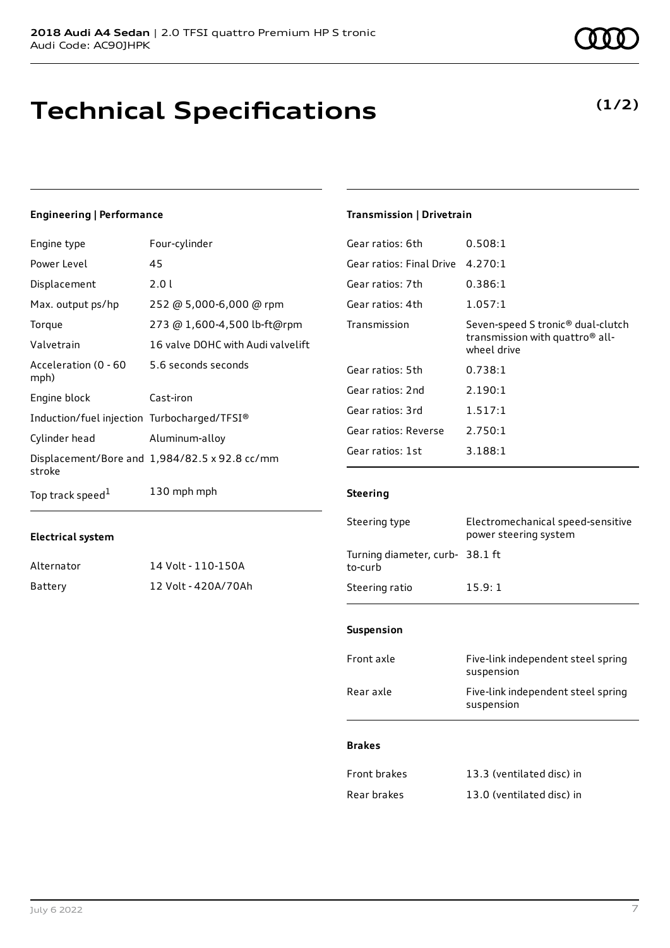# **Technical Specifications**

#### **Engineering | Performance**

| Engine type                                 | Four-cylinder                                 |
|---------------------------------------------|-----------------------------------------------|
| Power Level                                 | 45                                            |
| Displacement                                | 2.01                                          |
| Max. output ps/hp                           | 252 @ 5,000-6,000 @ rpm                       |
| Torque                                      | 273 @ 1,600-4,500 lb-ft@rpm                   |
| Valvetrain                                  | 16 valve DOHC with Audi valvelift             |
| Acceleration (0 - 60<br>mph)                | 5.6 seconds seconds                           |
| Engine block                                | Cast-iron                                     |
| Induction/fuel injection Turbocharged/TFSI® |                                               |
| Cylinder head                               | Aluminum-alloy                                |
| stroke                                      | Displacement/Bore and 1,984/82.5 x 92.8 cc/mm |
| Top track speed <sup>1</sup>                | 130 mph mph                                   |

#### **Electrical system**

| Alternator | 14 Volt - 110-150A  |
|------------|---------------------|
| Battery    | 12 Volt - 420A/70Ah |

#### **Transmission | Drivetrain**

| 0.508:1                                                                                                     |
|-------------------------------------------------------------------------------------------------------------|
| Gear ratios: Final Drive<br>4.270:1                                                                         |
| 0.386:1                                                                                                     |
| 1.057:1                                                                                                     |
| Seven-speed S tronic <sup>®</sup> dual-clutch<br>transmission with quattro <sup>®</sup> all-<br>wheel drive |
| 0.738:1                                                                                                     |
| 2.190:1                                                                                                     |
| 1.517:1                                                                                                     |
| 2.750:1                                                                                                     |
| 3.188:1                                                                                                     |
|                                                                                                             |

#### **Steering**

| Steering type                             | Electromechanical speed-sensitive<br>power steering system |
|-------------------------------------------|------------------------------------------------------------|
| Turning diameter, curb-38.1 ft<br>to-curb |                                                            |
| Steering ratio                            | 15.9:1                                                     |

#### **Suspension**

| Front axle | Five-link independent steel spring<br>suspension |
|------------|--------------------------------------------------|
| Rear axle  | Five-link independent steel spring<br>suspension |
|            |                                                  |

#### **Brakes**

| <b>Front brakes</b> | 13.3 (ventilated disc) in |
|---------------------|---------------------------|
| Rear brakes         | 13.0 (ventilated disc) in |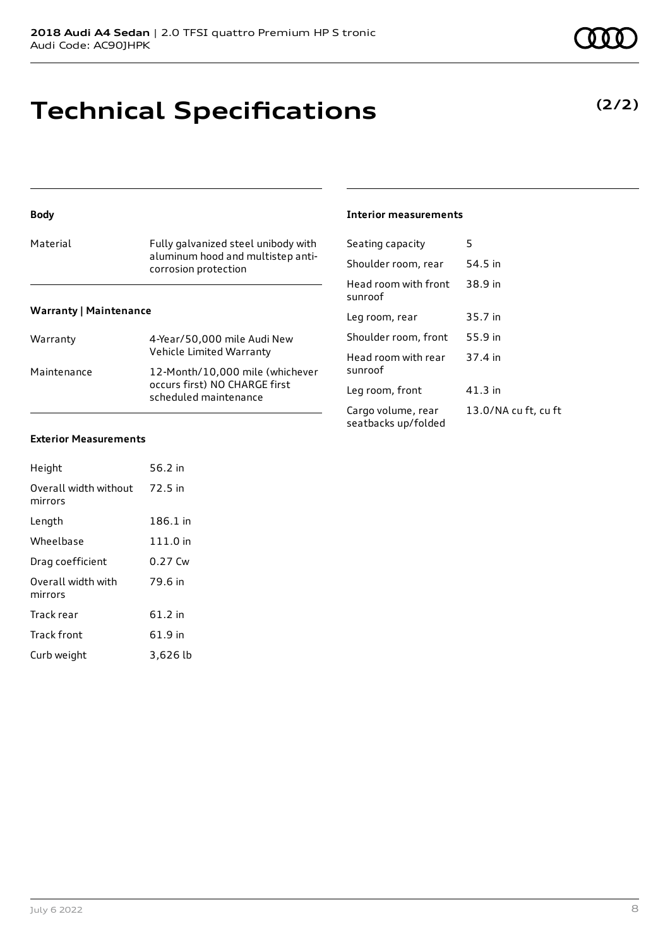## **Technical Specifications**

| <b>Body</b>                   |                                                           | <b>Interior measurements</b>              |         |
|-------------------------------|-----------------------------------------------------------|-------------------------------------------|---------|
| Material                      | Fully galvanized steel unibody with                       | Seating capacity                          | 5       |
|                               | aluminum hood and multistep anti-<br>corrosion protection | Shoulder room, rear                       | 54.5 in |
|                               |                                                           | Head room with front<br>sunroof           | 38.9 in |
| <b>Warranty   Maintenance</b> |                                                           | Leg room, rear                            | 35.7 in |
| Warranty                      | 4-Year/50,000 mile Audi New                               | Shoulder room, front                      | 55.9 in |
|                               | Vehicle Limited Warranty                                  | Head room with rear                       | 37.4 ii |
| Maintenance                   | 12-Month/10,000 mile (whichever                           | sunroof                                   |         |
|                               | occurs first) NO CHARGE first<br>scheduled maintenance    | Leg room, front                           | 41.3 in |
|                               |                                                           | Cargo volume, rear<br>seatbacks up/folded | 13.0/   |

#### **Exterior Measurements**

| Height                           | 56.2 in  |
|----------------------------------|----------|
| Overall width without<br>mirrors | 72.5 in  |
| Length                           | 186.1 in |
| Wheelbase                        | 111.0 in |
| Drag coefficient                 | 0.27 Cw  |
| Overall width with<br>mirrors    | 79.6 in  |
| Track rear                       | 61.2 in  |
| <b>Track front</b>               | 61.9 in  |
| Curb weight                      | 3,626 lb |

#### **Interior measurements**

| Shoulder room, rear                       | 54.5 in              |
|-------------------------------------------|----------------------|
| Head room with front<br>sunroof           | 38.9 in              |
| Leg room, rear                            | 35.7 in              |
| Shoulder room, front                      | 55.9 in              |
| Head room with rear<br>sunroof            | 37.4 in              |
| Leg room, front                           | 41.3 in              |
| Cargo volume, rear<br>conthacks un/foldad | 13.0/NA cu ft, cu ft |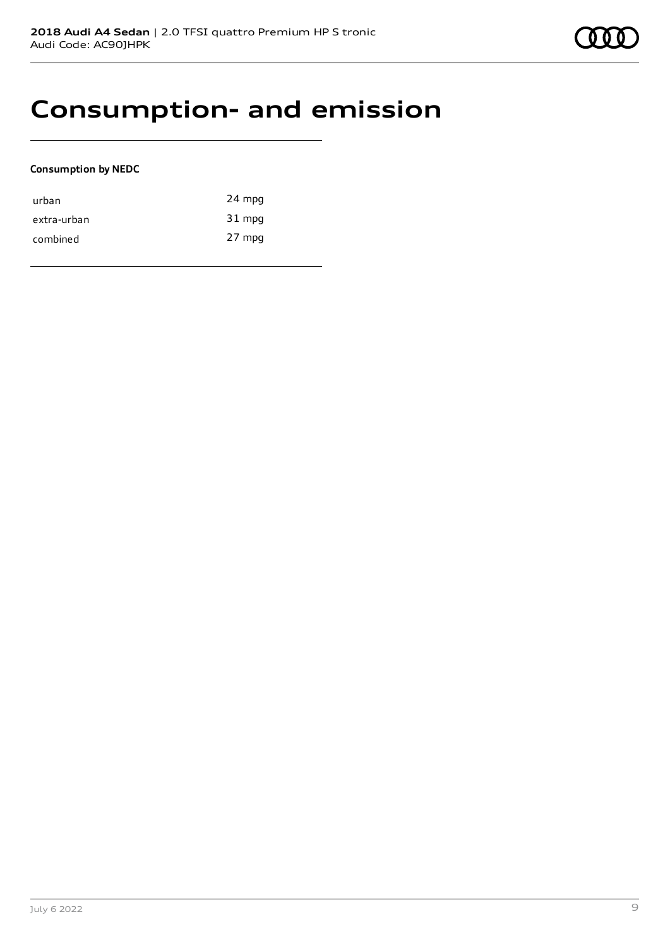

### **Consumption- and emission**

#### **Consumption by NEDC**

| urban       | 24 mpg |
|-------------|--------|
| extra-urban | 31 mpg |
| combined    | 27 mpg |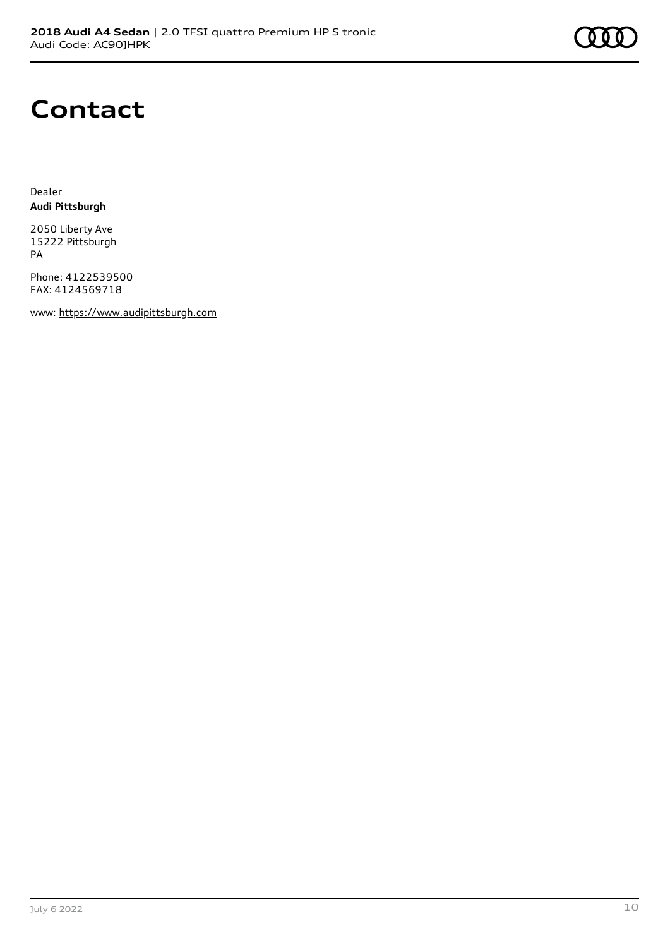

### **Contact**

Dealer **Audi Pittsburgh**

2050 Liberty Ave 15222 Pittsburgh PA

Phone: 4122539500 FAX: 4124569718

www: [https://www.audipittsburgh.com](https://www.audipittsburgh.com/)